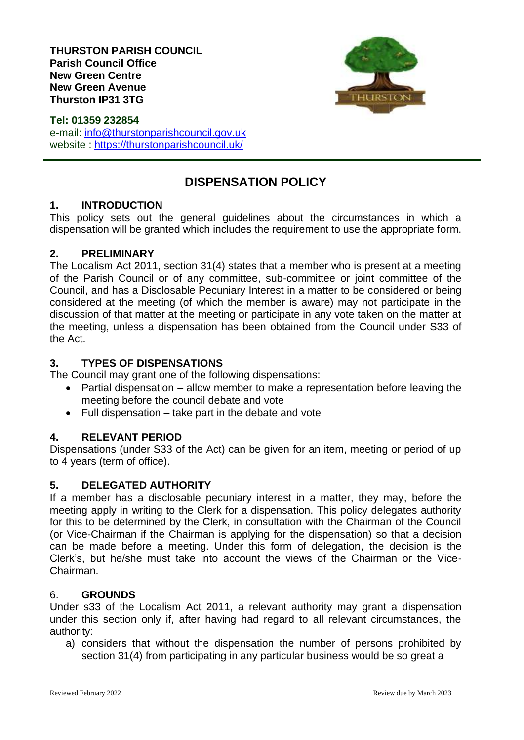

**Tel: 01359 232854** e-mail: [info@thurstonparishcouncil.gov.uk](mailto:info@thurstonparishcouncil.gov.uk) website :<https://thurstonparishcouncil.uk/>

# **DISPENSATION POLICY**

## **1. INTRODUCTION**

This policy sets out the general guidelines about the circumstances in which a dispensation will be granted which includes the requirement to use the appropriate form.

## **2. PRELIMINARY**

The Localism Act 2011, section 31(4) states that a member who is present at a meeting of the Parish Council or of any committee, sub-committee or joint committee of the Council, and has a Disclosable Pecuniary Interest in a matter to be considered or being considered at the meeting (of which the member is aware) may not participate in the discussion of that matter at the meeting or participate in any vote taken on the matter at the meeting, unless a dispensation has been obtained from the Council under S33 of the Act.

## **3. TYPES OF DISPENSATIONS**

The Council may grant one of the following dispensations:

- Partial dispensation allow member to make a representation before leaving the meeting before the council debate and vote
- Full dispensation take part in the debate and vote

## **4. RELEVANT PERIOD**

Dispensations (under S33 of the Act) can be given for an item, meeting or period of up to 4 years (term of office).

## **5. DELEGATED AUTHORITY**

If a member has a disclosable pecuniary interest in a matter, they may, before the meeting apply in writing to the Clerk for a dispensation. This policy delegates authority for this to be determined by the Clerk, in consultation with the Chairman of the Council (or Vice-Chairman if the Chairman is applying for the dispensation) so that a decision can be made before a meeting. Under this form of delegation, the decision is the Clerk's, but he/she must take into account the views of the Chairman or the Vice-Chairman.

### 6. **GROUNDS**

Under s33 of the Localism Act 2011, a relevant authority may grant a dispensation under this section only if, after having had regard to all relevant circumstances, the authority:

a) considers that without the dispensation the number of persons prohibited by section 31(4) from participating in any particular business would be so great a